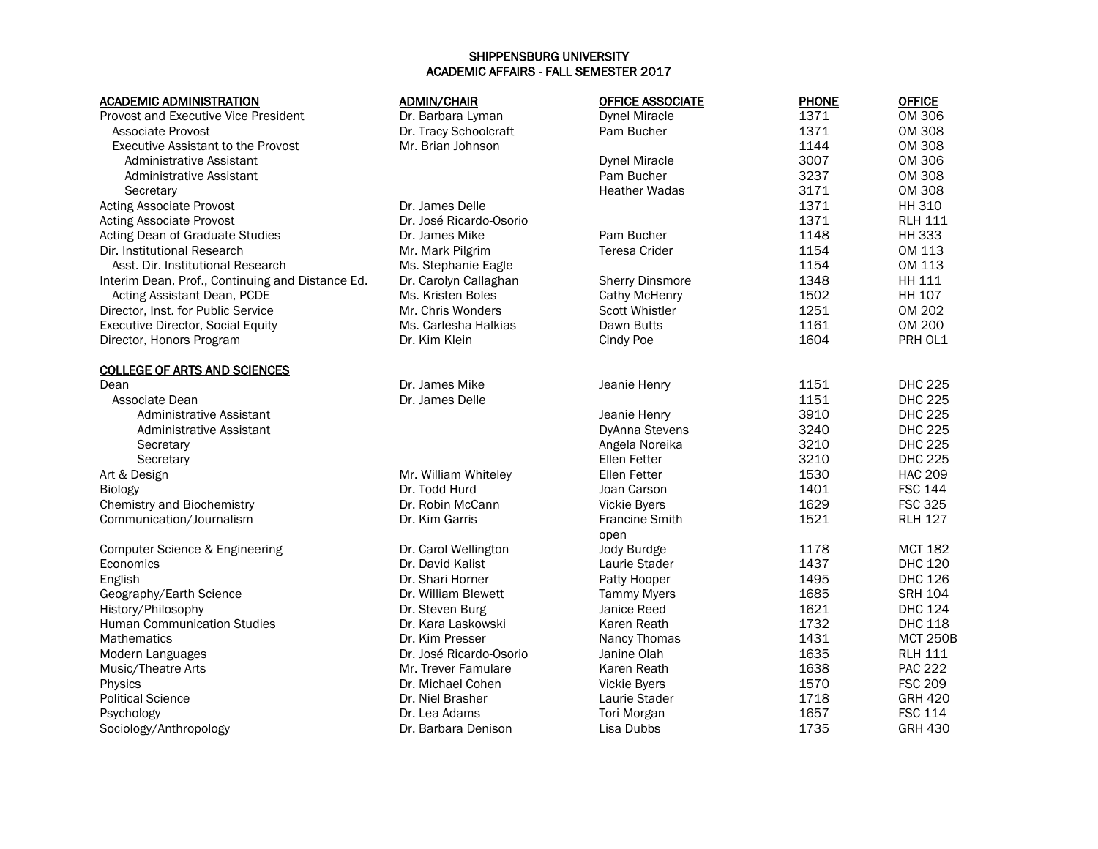## SHIPPENSBURG UNIVERSITY ACADEMIC AFFAIRS - FALL SEMESTER 2017

| <b>ACADEMIC ADMINISTRATION</b>                   | <b>ADMIN/CHAIR</b>      | <b>OFFICE ASSOCIATE</b> | <b>PHONE</b> | <b>OFFICE</b>   |
|--------------------------------------------------|-------------------------|-------------------------|--------------|-----------------|
| <b>Provost and Executive Vice President</b>      | Dr. Barbara Lyman       | <b>Dynel Miracle</b>    | 1371         | <b>OM 306</b>   |
| Associate Provost                                | Dr. Tracy Schoolcraft   | Pam Bucher              | 1371         | <b>OM 308</b>   |
| <b>Executive Assistant to the Provost</b>        | Mr. Brian Johnson       |                         | 1144         | <b>OM 308</b>   |
| Administrative Assistant                         |                         | <b>Dynel Miracle</b>    | 3007         | <b>OM 306</b>   |
| Administrative Assistant                         |                         | Pam Bucher              | 3237         | <b>OM 308</b>   |
| Secretary                                        |                         | <b>Heather Wadas</b>    | 3171         | <b>OM 308</b>   |
| <b>Acting Associate Provost</b>                  | Dr. James Delle         |                         | 1371         | <b>HH 310</b>   |
| <b>Acting Associate Provost</b>                  | Dr. José Ricardo-Osorio |                         | 1371         | <b>RLH 111</b>  |
| Acting Dean of Graduate Studies                  | Dr. James Mike          | Pam Bucher              | 1148         | <b>HH 333</b>   |
| Dir. Institutional Research                      | Mr. Mark Pilgrim        | Teresa Crider           | 1154         | OM 113          |
| Asst. Dir. Institutional Research                | Ms. Stephanie Eagle     |                         | 1154         | OM 113          |
| Interim Dean, Prof., Continuing and Distance Ed. | Dr. Carolyn Callaghan   | <b>Sherry Dinsmore</b>  | 1348         | HH 111          |
| Acting Assistant Dean, PCDE                      | Ms. Kristen Boles       | <b>Cathy McHenry</b>    | 1502         | HH 107          |
| Director, Inst. for Public Service               | Mr. Chris Wonders       | Scott Whistler          | 1251         | OM 202          |
| <b>Executive Director, Social Equity</b>         | Ms. Carlesha Halkias    | Dawn Butts              | 1161         | <b>OM 200</b>   |
| Director, Honors Program                         | Dr. Kim Klein           | Cindy Poe               | 1604         | PRH OL1         |
| <b>COLLEGE OF ARTS AND SCIENCES</b>              |                         |                         |              |                 |
| Dean                                             | Dr. James Mike          | Jeanie Henry            | 1151         | <b>DHC 225</b>  |
| Associate Dean                                   | Dr. James Delle         |                         | 1151         | <b>DHC 225</b>  |
| Administrative Assistant                         |                         | Jeanie Henry            | 3910         | <b>DHC 225</b>  |
| Administrative Assistant                         |                         | DyAnna Stevens          | 3240         | <b>DHC 225</b>  |
| Secretary                                        |                         | Angela Noreika          | 3210         | <b>DHC 225</b>  |
| Secretary                                        |                         | Ellen Fetter            | 3210         | <b>DHC 225</b>  |
| Art & Design                                     | Mr. William Whiteley    | Ellen Fetter            | 1530         | <b>HAC 209</b>  |
| <b>Biology</b>                                   | Dr. Todd Hurd           | Joan Carson             | 1401         | <b>FSC 144</b>  |
| Chemistry and Biochemistry                       | Dr. Robin McCann        | Vickie Byers            | 1629         | <b>FSC 325</b>  |
| Communication/Journalism                         | Dr. Kim Garris          | <b>Francine Smith</b>   | 1521         | <b>RLH 127</b>  |
|                                                  |                         | open                    |              |                 |
| Computer Science & Engineering                   | Dr. Carol Wellington    | Jody Burdge             | 1178         | <b>MCT 182</b>  |
| Economics                                        | Dr. David Kalist        | Laurie Stader           | 1437         | <b>DHC 120</b>  |
| English                                          | Dr. Shari Horner        | Patty Hooper            | 1495         | <b>DHC 126</b>  |
| Geography/Earth Science                          | Dr. William Blewett     | <b>Tammy Myers</b>      | 1685         | <b>SRH 104</b>  |
| History/Philosophy                               | Dr. Steven Burg         | Janice Reed             | 1621         | <b>DHC 124</b>  |
| <b>Human Communication Studies</b>               | Dr. Kara Laskowski      | Karen Reath             | 1732         | <b>DHC 118</b>  |
| Mathematics                                      | Dr. Kim Presser         | Nancy Thomas            | 1431         | <b>MCT 250B</b> |
| Modern Languages                                 | Dr. José Ricardo-Osorio | Janine Olah             | 1635         | <b>RLH 111</b>  |
| Music/Theatre Arts                               | Mr. Trever Famulare     | Karen Reath             | 1638         | <b>PAC 222</b>  |
| Physics                                          | Dr. Michael Cohen       | <b>Vickie Byers</b>     | 1570         | <b>FSC 209</b>  |
| <b>Political Science</b>                         | Dr. Niel Brasher        | Laurie Stader           | 1718         | <b>GRH 420</b>  |
| Psychology                                       | Dr. Lea Adams           | Tori Morgan             | 1657         | <b>FSC 114</b>  |
| Sociology/Anthropology                           | Dr. Barbara Denison     | Lisa Dubbs              | 1735         | <b>GRH 430</b>  |